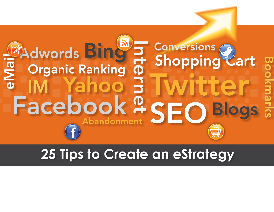# **EAdwords Bing = Conversions @**<br>E Organic Ranking <del>n</del> Shopping Cart  $\overline{a}$ Facebook # SEO Blogs **SLKS** Abandonment

# **25 Tips to Create an eStrategy**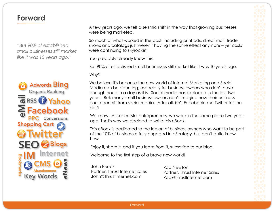#### **Forward**

*"But 90% of established small businesses still market like it was 10 years ago."*



A few years ago, we felt a seismic shift in the way that growing businesses were being marketed.

So much of what worked in the past, including print ads, direct mail, trade shows and catalogs just weren't having the same effect anymore – yet costs were continuing to skyrocket.

You probably already know this.

But 90% of established small businesses still market like it was 10 years ago.

Why?

We believe it's because the new world of Internet Marketing and Social Media can be daunting, especially for business owners who don't have enough hours in a day as it is. Social media has exploded in the last two years. But, many small business owners can't imagine how their business could benefit from social media. After all, isn't Facebook and Twitter for the kids?

We know. As successful entrepreneurs, we were in the same place two years ago. That's why we decided to write this eBook.

This eBook is dedicated to the legion of business owners who want to be part of the 10% of businesses fully engaged in eStrategy, but don't quite know how.

Enjoy it, share it, and if you learn from it, subscribe to our blog.

Welcome to the first step of a brave new world!

John Peretz Partner, Thrust Internet Sales John@ThrustInternet.com

Rob Newton Partner, Thrust Internet Sales Rob@ThrustInternet.com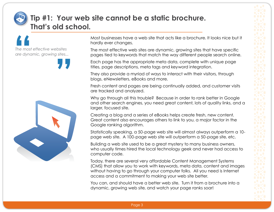# **Tip #1: Your web site cannot be a static brochure. That's old school.**





Most businesses have a web site that acts like a brochure. It looks nice but it hardly ever changes.

The most effective web sites are dynamic, growing sites that have specific pages tied to keywords that match the way different people search online.

Each page has the appropriate meta data, complete with unique page titles, page descriptions, meta tags and keyword integration.

They also provide a myriad of ways to interact with their visitors, through blogs, eNewsletters, eBooks and more.

Fresh content and pages are being continually added, and customer visits are tracked and analyzed.

Why go through all this trouble? Because in order to rank better in Google and other search engines, you need great content, lots of quality links, and a larger, focused site.

Creating a blog and a series of eBooks helps create fresh, new content. Great content also encourages others to link to you, a major factor in the Google ranking algorithm.

Statistically speaking, a 50-page web site will almost always outperform a 10 page web site. A 100-page web site will outperform a 50-page site, etc.

Building a web site used to be a great mystery to many business owners, who usually times hired the local technology geek and never had access to computer code.

Today, there are several very affordable Content Management Systems (CMS) that allow you to work with keywords, meta data, content and images without having to go through your computer folks. All you need is Internet access and a commitment to making your web site better.

You can, and should have a better web site. Turn it from a brochure into a dynamic, growing web site, and watch your page ranks soar!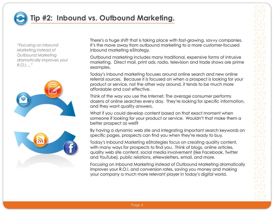

### **Tip #2: Inbound vs. Outbound Marketing.**

*"Focusing on Inbound Marketing instead of Outbound Marketing dramatically improves your R.O.I…."*





There's a huge shift that is taking place with fast-growing, savvy companies. It's the move away from outbound marketing to a more customer-focused inbound marketing eStrategy.

Outbound marketing includes many traditional, expensive forms of intrusive marketing. Direct mail, print ads, radio, television and trade shows are prime examples.

Today's inbound marketing focuses around online search and new online referral sources. Because it is focused on when a prospect is looking for your product or service, not the other way around, it tends to be much more affordable and cost effective.

Think of the way you use the Internet. The average consumer performs dozens of online searches every day. They're looking for specific information, and they want quality answers.

What if you could develop content based on that exact moment when someone if looking for your product or service. Wouldn't that make them a better prospect as well?

By having a dynamic web site and integrating important search keywords on specific pages, prospects can find you when they're ready to buy.

Today's Inbound Marketing eStrategies focus on creating quality content, with many ways for prospects to find you. Think of blogs, online articles, quality web site content, social media involvement (like Facebook, Twitter and YouTube), public relations, eNewsletters, email, and more.

Focusing on Inbound Marketing instead of Outbound Marketing dramatically improves your R.O.I. and conversion rates, saving you money and making your company a much more relevant player in today's digital world.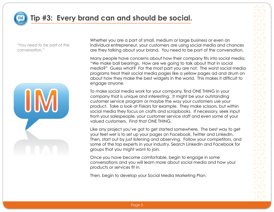

# **Tip #3: Every brand can and should be social.**

*"You need to be part of the conversation."*



Whether you are a part of small, medium or large business or even an individual entrepreneur, your customers are using social media and chances are they talking about your brand. You need to be part of the conversation.

Many people have concerns about how their company fits into social media. "We make ball bearings. How are we going to talk about that in social media?" Guess what? For the most part you are not. The worst social media programs treat their social media pages like a yellow pages ad and drum on about how they make the best widgets in the world. This makes it difficult to engage anyone.

To make social media work for your company, find ONE THING in your company that is unique and interesting. It might be your outstanding customer service program or maybe the way your customers use your product. Take a look at Fiskars for example. They make scissors, but within social media they focus on crafts and scrapbooks. If necessary, seek input from your salespeople, your customer service staff and even some of your valued customers. Find that ONE THING.

Like any project you've got to get started somewhere. The best way to get your feet wet is to set up your pages on Facebook, Twitter and LinkedIn. Then, start out by just listening and observing. Follow your competitors, and some of the top experts in your industry. Search LinkedIn and Facebook for groups that you might want to join.

Once you have become comfortable, begin to engage in some conversations and you will learn more about social media and how your products or services fit in.

Then, begin to develop your Social Media Marketing Plan.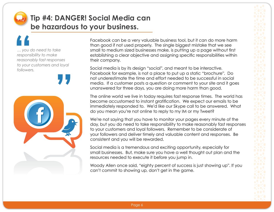# **Tip #4: DANGER! Social Media can be hazardous to your business.**

**1**<br>
... you c<br>
responsi<br>
reasona<br>
to your *d*<br>
follower *… you do need to take responsibility to make reasonably fast responses to your customers and loyal followers.*



Facebook can be a very valuable business tool, but it can do more harm than good if not used properly. The single biggest mistake that we see small to medium sized businesses make, is putting up a page without first establishing a clear objective and assigning specific responsibilities within their company.

Social media is by its design "social", and meant to be interactive. Facebook for example, is not a place to put up a static "brochure". Do not underestimate the time and effort needed to be successful in social media. If a customer posts a question or comment to your site and it goes unanswered for three days, you are doing more harm than good.

The online world we live in today requires fast response times. The world has become accustomed to instant gratification. We expect our emails to be immediately responded to. We'd like our Skype call to be answered. What do you mean you're not online to reply to my IM or my Tweet?

We're not saying that you have to monitor your pages every minute of the day, but you do need to take responsibility to make reasonably fast responses to your customers and loyal followers. Remember to be considerate of your followers and deliver timely and valuable content and responses. Be consistent and you will be rewarded.

Social media is a tremendous and exciting opportunity, especially for small businesses. But, make sure you have a well thought out plan and the resources needed to execute it before you jump in.

Woody Allen once said, "eighty percent of success is just showing up". If you can't commit to showing up, don't get in the game.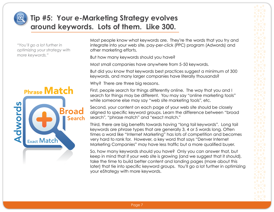

# **Tip #5: Your e-Marketing Strategy evolves around keywords. Lots of them. Like 300.**

*"You'll go a lot further in optimizing your strategy with more keywords."*



Most people know what keywords are. They're the words that you try and integrate into your web site, pay-per-click (PPC) program (Adwords) and other marketing efforts.

But how many keywords should you have?

Most small companies have anywhere from 5-50 keywords.

But did you know that keywords best practices suggest a minimum of 300 keywords, and many larger companies have literally thousands?

Why? There are three big reasons.

First, people search for things differently online. The way that you and I search for things may be different. You may say "online marketing tools" while someone else may say "web site marketing tools", etc.

Second, your content on each page of your web site should be closely alianed to specific keyword aroups. Learn the difference between "broad search", "phrase match" and "exact match."

Third, there are big benefits towards having "long tail keywords". Long tail keywords are phrase types that are generally 3, 4 or 5 words long. Often times a word like "Internet Marketing" has lots of competition and becomes very hard to rank for. However, a key word that says "Denver Internet Marketing Companies" may have less traffic but a more qualified buyer.

So, how many keywords should you have? Only you can answer that, but keep in mind that if your web site is growing (and we suggest that it should), take the time to build better content and landing pages (more about this later) that tie into specific keyword groups. You'll go a lot further in optimizing your eStrategy with more keywords.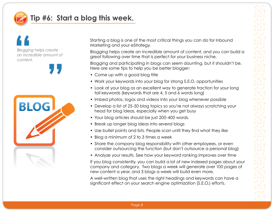

### **Tip #6: Start a blog this week.**

**A**<br>Blogging<br>an incre<br>content *Blogging helps create an incredible amount of content.*



Starting a blog is one of the most critical things you can do for Inbound Marketing and your eStrategy.

Blogging helps create an incredible amount of content, and you can build a great following over time that is perfect for your business niche.

Blogging and participating in blogs can seem daunting, but it shouldn't be. Here are some tips to help you be better blogger:

- Come up with a good blog title
- Work your keywords into your blog for strong S.E.O. opportunities
- Look at your blog as an excellent way to generate traction for your long tail keywords (keywords that are 4, 5 and 6 words long)
- Imbed photos, logos and videos into your blog whenever possible
- Develop a list of 25-50 blog topics so you're not always scratching your head for blog ideas, especially when you get busy
- Your blog articles should be just 200-400 words.
- Break up longer blog ideas into several blogs
- Use bullet points and lists. People scan until they find what they like
- Blog a minimum of 2 to 3 times a week
- Share the company blog responsibility with other employees, or even consider outsourcing the function (but don't outsource a personal blog)
- Analyze your results. See how your keyword ranking improves over time

If you blog consistently, you can build a lot of new indexed pages about your company and category. Two blogs a week will generate over 100 pages of new content a year, and 3 blogs a week will build even more.

A well-written blog that uses the right headings and keywords can have a significant effect on your search engine optimization (S.E.O.) efforts.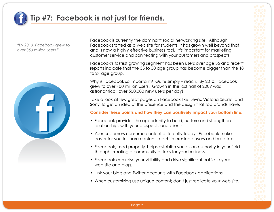

### **Tip #7: Facebook is not just for friends.**

*"By 2010, Facebook grew to over 350 million users."*



Facebook is currently the dominant social networking site. Although Facebook started as a web site for students, it has grown well beyond that and is now a highly effective business tool. It's important for marketing, customer service and connecting with your customers and prospects.

Facebook's fastest growing segment has been users over age 35 and recent reports indicate that the 35 to 50 age group has become bigger than the 18 to 24 age group.

Why is Facebook so important? Quite simply – reach. By 2010, Facebook grew to over 400 million users. Growth in the last half of 2009 was astronomical; over 500,000 new users per day!

Take a look at few great pages on Facebook like, Levi's, Victoria Secret, and Sony, to get an idea of the presence and the design that top brands have.

#### **Consider these points and how they can positively impact your bottom line:**

- Facebook provides the opportunity to build, nurture and strengthen relationships with your prospects and clients.
- Your customers consume content differently today. Facebook makes it easier for you to share content, reach interested buyers and build trust.
- Facebook, used properly, helps establish you as an authority in your field through creating a community of fans for your business.
- Facebook can raise your visibility and drive significant traffic to your web site and blog.
- Link your blog and Twitter accounts with Facebook applications.
- When customizing use unique content; don't just replicate your web site.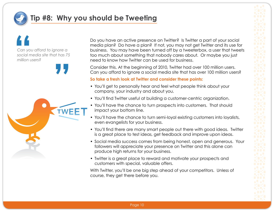

### **Tip #8: Why you should be Tweeting**



TWEI



Consider this. At the beginning of 2010, Twitter had over 100 million users. Can you afford to ignore a social media site that has over 100 million users?

**So take a fresh look at Twitter and consider these points:**

- You'll get to personally hear and feel what people think about your company, your industry and about you.
- You'll find Twitter useful at building a customer-centric organization.
- You'll have the chance to turn prospects into customers. That should impact your bottom line.
- You'll have the chance to turn semi-loyal existing customers into loyalists, even evangelists for your business.
- You'll find there are many smart people out there with good ideas. Twitter is a great place to test ideas, get feedback and improve upon ideas.
- Social media success comes from being honest, open and generous. Your followers will appreciate your presence on Twitter and this alone can produce high returns for your business.
- Twitter is a great place to reward and motivate your prospects and customers with special, valuable offers.

With Twitter, you'll be one big step ahead of your competitors. Unless of course, they get there before you.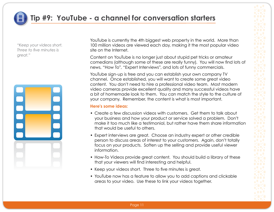

### **Tip #9: YouTube - a channel for conversation starters**

*"Keep your videos short. Three to five minutes is great."*



YouTube is currently the 4th biggest web property in the world. More than 100 million videos are viewed each day, making it the most popular video site on the Internet.

Content on YouTube is no longer just about stupid pet tricks or amateur comedians (although some of these are really funny). You will now find lots of news, "How To", "Expert Interviews", and lots of funny commercials.

YouTube sign-up is free and you can establish your own company TV channel. Once established, you will want to create some great video content. You don't need to hire a professional video team. Most modern video cameras provide excellent quality and many successful videos have a bit of homemade look to them. You can match the style to the culture of your company. Remember, the content is what is most important.

#### **Here's some ideas:**

- Create a few discussion videos with customers. Get them to talk about your business and how your product or service solved a problem. Don't make it too much like a testimonial, but rather have them share information that would be useful to others.
- Expert interviews are great. Choose an industry expert or other credible person to discuss areas of interest to your customers. Again, don't totally focus on your products. Soften up the selling and provide useful viewer information.
- How-To Videos provide great content. You should build a library of these that your viewers will find interesting and helpful.
- Keep your videos short. Three to five minutes is great.
- YouTube now has a feature to allow you to add captions and clickable areas to your video. Use these to link your videos together.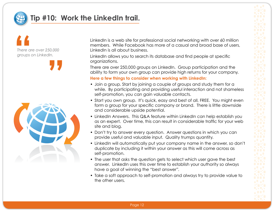

### **Tip #10: Work the LinkedIn trail.**







LinkedIn is a web site for professional social networking with over 60 million members. While Facebook has more of a casual and broad base of users. LinkedIn is all about business.

LinkedIn allows you to search its database and find people at specific organizations.

There are over 250,000 groups on LinkedIn. Group participation and the ability to form your own group can provide high returns for your company.

**Here a few things to consider when working with LinkedIn:**

- Join a group. Start by joining a couple of groups and study them for a while. By participating and providing useful interaction and not shameless self-promotion, you can gain valuable contacts.
- Start you own group. It's quick, easy and best of all, FREE. You might even form a group for your specific company or brand. There is little downside and considerable upside potential.
- LinkedIn Answers. This Q&A feature within LinkedIn can help establish you as an expert. Over time, this can result in considerable traffic for your web site and blog.
- Don't try to answer every question. Answer questions in which you can provide useful and valuable input. Quality trumps quantity.
- LinkedIn will automatically put your company name in the answer, so don't duplicate by including it within your answer as this will come across as self-promotion.
- The user that asks the question gets to select which user gave the best answer. LinkedIn uses this over time to establish your authority so always have a goal of winning the "best answer".
- Take a soft approach to self-promotion and always try to provide value to the other users.

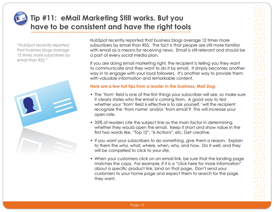# **Tip #11: eMail Marketing Still works. But you have to be consistent and have the right tools**

*"HubSpot recently reported that business blogs average 12 times more subscribers by email than RSS."*



HubSpot recently reported that business blogs average 12 times more subscribers by email than RSS. The fact is that people are still more familiar with email as a means for receiving news. Email is still relevant and should be a part of every social media plan.

If you are doing email marketing right, the recipient is telling you they want to communicate and they want to do it by email. It simply becomes another way in to engage with your loyal followers. It's another way to provide them with valuable information and remarkable content.

#### **Here are a few hot tips from a leader in the business, Mail Dog:**

- The 'from' field is one of the first things your subscriber will see, so make sure it clearly states who the email is coming from. A good way to test whether your 'from' field is effective is to ask yourself, 'will the recipient recognize the 'from name' and/or 'from email'? This will increase your open rate.
- 35% of readers cite the subject line as the main factor in determining whether they would open the email. Keep it short and show value in the first two words like, "Top 12", "6 Actions", etc. Get creative.
- If you want your subscribers to do something, give them a reason. Explain to them the who, what, where, when, why, and how. Do it well, and they will be compelled to click to your site.
- When your customers click on an email link, be sure that the landing page matches the copy. For example, if it is a "click here for more information" about a specific product link, land on that page. Don't send your customers to your home page and expect them to search for the page they want.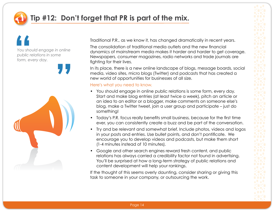

# **Tip #12: Don't forget that PR is part of the mix.**



*You should engage in online* 

Traditional P.R., as we know it, has changed dramatically in recent years.

The consolidation of traditional media outlets and the new financial dynamics of mainstream media makes it harder and harder to get coverage. Newspapers, consumer magazines, radio networks and trade journals are fighting for their lives.

In its place, there is a new online landscape of blogs, message boards, social media, video sites, micro blogs (Twitter) and podcasts that has created a new world of opportunities for businesses of all size.

#### Here's what you need to know.

- You should engage in online public relations is some form, every day. Start and make blog entries (at least twice a week), pitch an article or an idea to an editor or a blogger, make comments on someone else's blog, make a Twitter tweet, join a user group and participate – just do something!
- Today's P.R. focus really benefits small business, because for the first time ever, you can consistently create a buzz and be part of the conversation.
- Try and be relevant and somewhat brief. Include photos, videos and logos in your posts and entries. Use bullet points, and don't pontificate. We encourage you to develop videos and podcasts, but make them short (1-4 minutes instead of 10 minutes).
- Google and other search engines reward fresh content, and public relations has always carried a credibility factor not found in advertising. You'll be surprised at how a long-term strategy of public relations and content development will help your rankings.

If the thought of this seems overly daunting, consider sharing or giving this task to someone in your company, or outsourcing the work.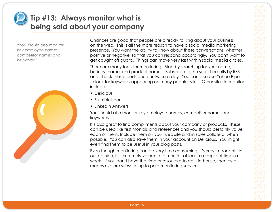

# **Tip #13: Always monitor what is being said about your company**

*"You should also monitor key employee names, competitor names and keywords."*



Chances are good that people are already talking about your business on the web. This is all the more reason to have a social media marketing presence. You want the ability to know about these conversations, whether positive or negative, so that you can respond accordingly. You don't want to get caught off guard. Things can move very fast within social media circles.

There are many tools for monitoring. Start by searching for your name, business name, and product names. Subscribe to the search results by RSS and check these feeds once or twice a day. You can also use Yahoo Pipes to look for keywords appearing on many popular sites. Other sites to monitor include:

- Delicious
- StumbleUpon
- LinkedIn Answers

You should also monitor key employee names, competitor names and keywords.

It's also great to find compliments about your company or products. These can be used like testimonials and references and you should certainly value each of them. Include them on your web site and in sales collateral when possible. You can also save them in your account on Delicious. You might even find them to be useful in your blog posts.

Even though monitoring can be very time consuming, it's very important. In our opinion, it's extremely valuable to monitor at least a couple of times a week. If you don't have the time or resources to do it in-house, then by all means explore subscribing to paid monitoring services.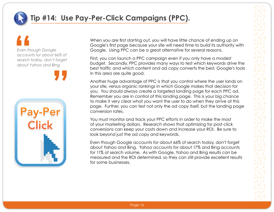

# **Tip #14: Use Pay-Per-Click Campaigns (PPC).**

Even the<br>
Even the<br>
search t<br>
about Y *Even though Google accounts for about 66% of search today, don't forget about Yahoo and Bing.*





When you are first starting out, you will have little chance of ending up on Google's first page because your site will need time to build its authority with Google. Using PPC can be a great alternative for several reasons.

First, you can launch a PPC campaign even if you only have a modest budget. Secondly, PPC provides many ways to test which keywords drive the best traffic and which content and ad copy converts the best. Google's tools in this area are quite good.

Another huge advantage of PPC is that you control where the user lands on your site, versus organic rankings in which Google makes that decision for you. You should always create a targeted landing page for each PPC ad. Remember you are in control of this landing page. This is your big chance to make it very clear what you want the user to do when they arrive at this page. Further, you can test not only the ad copy itself, but the landing page conversion rates.

You must monitor and track your PPC efforts in order to make the most of your marketing dollars. Research shows that optimizing for post-click conversions can keep your costs down and increase your ROI. Be sure to look beyond just the ad copy and keywords.

Even though Google accounts for about 66% of search today, don't forget about Yahoo and Bing. Yahoo accounts for about 17% and Bing accounts for 11% of search volume. As with Google, Yahoo and Bing results can be measured and the ROI determined, so they can still provide excellent results for some businesses.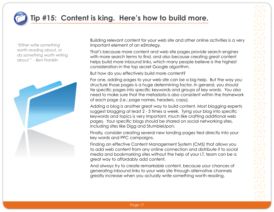

### **Tip #15: Content is king. Here's how to build more.**

*"Either write something worth reading about, or do something worth writing about." - Ben Franklin*



Building relevant content for your web site and other online activities is a very important element of an eStrategy.

That's because more content and web site pages provide search engines with more search terms to find, and also because creating great content helps build more inbound links, which many people believe is the highest consideration in the top secret Google algorithm.

But how do you effectively build more content?

For one, adding pages to your web site can be a big help. But the way you structure those pages is a huge determining factor. In general, you should tie specific pages into specific keywords and groups of key words. You also need to make sure that the metadata is also consistent within the framework of each page (i.e.: page names, headers, copy).

Adding a blog is another great way to build content. Most blogging experts suggest blogging at least 2 - 3 times a week. Tying your blog into specific keywords and topics is very important, much like crafting additional web pages. Your specific blogs should be shared on social networking sites, including sites like Digg and StumbleUpon.

Finally, consider creating several new landing pages tied directly into your key words and PPC campaigns.

Finding an effective Content Management System (CMS) that allows you to add web content from any online connection and distribute it to social media and bookmarking sites without the help of your I.T. team can be a great way to affordably add content.

And always try to create remarkable content, because your chances of generating inbound links to your web site through alternative channels greatly increase when you actually write something worth reading.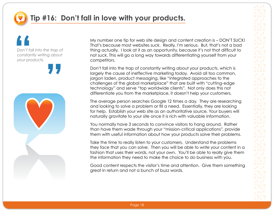

# **Tip #16: Don't fall in love with your products.**



My number one tip for web site design and content creation is - DON'T SUCK! That's because most websites suck. Really, I'm serious. But, that's not a bad thing actually. I look at it as an opportunity, because it's not that difficult to not suck. This will go a long way towards differentiating yourself from your competitors.

Don't fall into the trap of constantly writing about your products, which is largely the cause of ineffective marketing today. Avoid all too common, jargon laden, product messaging, like "integrated approaches to the challenges of the global marketplace" that are built with "cutting-edge technology" and serve "top worldwide clients". Not only does this not differentiate you from the marketplace, it doesn't help your customers.

The average person searches Google 12 times a day. They are researching and looking to solve a problem or fill a need. Essentially, they are looking for help. Establish your web site as an authoritative source. Your buyers will naturally gravitate to your site once it is rich with valuable information.

You normally have 3 seconds to convince visitors to hang around. Rather than have them wade through your "mission-critical applications", provide them with useful information about how your products solve their problems.

Take the time to really listen to your customers. Understand the problems they face that you can solve. Then you will be able to write your content in a fashion that uses their words, not your own. You'll be able to really give them the information they need to make the choice to do business with you.

Good content respects the visitor's time and attention. Give them something great in return and not a bunch of buzz words.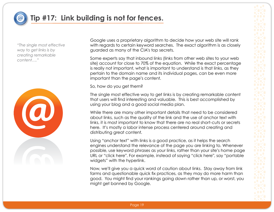

# **Tip #17: Link building is not for fences.**

*"The single most effective way to get links is by creating remarkable content…."*



Google uses a proprietary algorithm to decide how your web site will rank with regards to certain keyword searches. The exact algorithm is as closely guarded as many of the CIA's top secrets.

Some experts say that inbound links (links from other web sites to your web site) account for close to 70% of the equation. While the exact percentage is really not important, what is important to understand is that links, as they pertain to the domain name and its individual pages, can be even more important than the page's content.

So, how do you get them?

The single most effective way to get links is by creating remarkable content that users will find interesting and valuable. This is best accomplished by using your blog and a good social media plan.

While there are many other important details that need to be considered about links, such as the quality of the link and the use of anchor text with links, it is most important to know that there are no real short-cuts or secrets here. It's mostly a labor intense process centered around creating and distributing great content.

Using "anchor text" with links is a good practice, as it helps the search engines understand the relevance of the page you are linking to. Whenever possible, use keyword phrases as your links, rather than your site's home page URL or "click here". For example, instead of saying "click here", say "portable widgets" with the hyperlink.

Now, we'll give you a quick word of caution about links. Stay away from link farms and questionable quick fix practices, as they may do more harm than good. You might find your rankings going down rather than up, or worst, you might get banned by Google.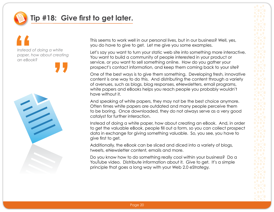

### Tip #18: Give first to get later.



This seems to work well in our personal lives, but in our business? Well, yes, you do have to give to get. Let me give you some examples.

Let's say you want to turn your static web site into something more interactive. You want to build a community of people interested in your product or service, or you want to sell something online. How do you gather your prospect's contact information, and keep them coming back to your site?

One of the best ways is to give them something. Developing fresh, innovative content is one way to do this. And distributing the content through a variety of avenues, such as blogs, blog responses, eNewsletters, email programs, white papers and eBooks helps you reach people you probably wouldn't have without it.

And speaking of white papers, they may not be the best choice anymore. Often times white papers are outdated and many people perceive them to be boring. Once downloaded, they do not always serve as a very good catalyst for further interaction.

Instead of doing a white paper, how about creating an eBook. And, in order to get the valuable eBook, people fill out a form, so you can collect prospect data in exchange for giving something valuable. So, you see, you have to give first to get.

Additionally, the eBook can be sliced and diced into a variety of blogs, tweets, eNewsletter content, emails and more.

Do you know how to do something really cool within your business? Do a YouTube video. Distribute information about it. Give to get. It's a simple principle that goes a long way with your Web 2.0 eStrategy.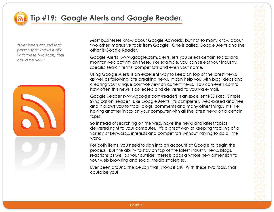

## **Tip #19: Google Alerts and Google Reader.**

*"Ever been around that person that knows it all? With these two tools, that could be you."*



Most businesses know about Google AdWords, but not so many know about two other impressive tools from Google. One is called Google Alerts and the other is Google Reader.

Google Alerts (www.google.com/alerts) lets you select certain topics and monitor web activity on these. For example, you can select your industry, specific search terms, competitors and even your name.

Using Google Alerts is an excellent way to keep on top of the latest news, as well as following late breaking news. It can help you with blog ideas and creating your unique point-of-view on current news. You can even control how often this news is collected and delivered to you via e-mail.

Google Reader (www.google.com/reader) is an excellent RSS (Real Simple Syndication) reader. Like Google Alerts, it's completely web-based and free, and it allows you to track blogs, comments and many other things. It's like having another inbox on your computer with all the latest news on a certain topic.

So instead of searching on the web, have the news and latest topics delivered right to your computer. It's a great way of keeping tracking of a variety of keywords, interests and competitors without having to do all the work.

For both items, you need to sign into an account at Google to begin the process. But the ability to stay on top of the latest industry news, blogs, reactions as well as your outside interests adds a whole new dimension to your web browsing and social media strategies.

Ever been around the person that knows it all? With these two tools, that could be you!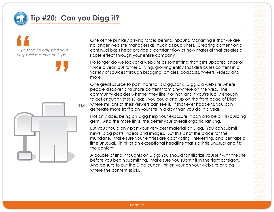

### **Tip #20: Can you Digg it?**







One of the primary driving forces behind Inbound Marketing is that we are no longer web site managers as much as publishers. Creating content on a continual basis helps provide a constant flow of new material that creates a ripple effect through your entire company.

No longer do we look at a web site as something that gets updated once or twice a year, but rather a living, growing entity that distributes content in a variety of sources through blogging, articles, podcasts, tweets, videos and more.

One great source to post material is Digg.com. Digg is a web site where people discover and share content from anywhere on the web. The community decides whether they like it or not, and if you're lucky enough to get enough votes (Diggs), you could end up on the front page of Digg, where millions of their viewers can see it. If that ever happens, you can generate more traffic on your site in a day than you do in a year.

Not only does being on Digg help your exposure, it can also be a link-building gem. And the more links, the better your overall organic ranking.

But you should only post your very best material on Digg. You can submit news, blog posts, videos and images. But this is not the place for the mundane. Make sure your entries are captivating, interesting, and perhaps a little unusual. Think of an exceptional headline that's a little unusual and fits the content.

A couple of final thoughts on Digg: You should familiarize yourself with the site before you begin submitting. Make sure you submit it in the right category. And be sure to put the Digg button link on your on your web site or blog where the content exists.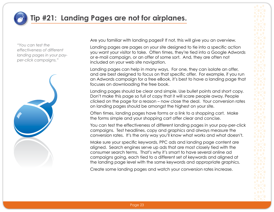

# **Tip #21: Landing Pages are not for airplanes.**

*"You can test the effectiveness of different landing pages in your payper-click campaigns."*



Are you familiar with landing pages? If not, this will give you an overview.

Landing pages are pages on your site designed to tie into a specific action you want your visitor to take. Often times, they're tied into a Google Adwords or e-mail campaign, or an offer of some sort. And, they are often not included on your web site navigation.

Landing pages can help in many ways. For one, they can isolate an offer, and are best designed to focus on that specific offer. For example, if you run an Adwords campaign for a free eBook, it's best to have a landing page that focuses on downloading the free book.

Landing pages should be clear and simple. Use bullet points and short copy. Don't make this page so full of copy that it will scare people away. People clicked on the page for a reason – now close the deal. Your conversion rates on landing pages should be amongst the highest on your site.

Often times, landing pages have forms or a link to a shopping cart. Make the forms simple and your shopping cart offer clear and concise.

You can test the effectiveness of different landing pages in your pay-per-click campaigns. Test headlines, copy and graphics and always measure the conversion rates. It's the only way you'll know what works and what doesn't.

Make sure your specific keywords, PPC ads and landing page content are aligned. Search engines serve up ads that are most closely tied with the consumer search terms. That's why it's smart to have several online ad campaigns going, each tied to a different set of keywords and aligned at the landing page level with the same keywords and appropriate graphics.

Create some landing pages and watch your conversion rates increase.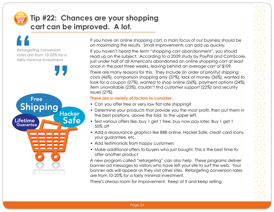

# **Tip #22: Chances are your shopping cart can be improved. A lot.**



If you have an online shopping cart, a main focus of our business should be on maximizing the results. Small improvements can add up quickly.

If you haven't heard the term "shopping cart abandonment", you should read up on the subject. According to a 2009 study by PayPal and ComScore, just under half of all Americans abandoned an online shopping cart at least once in the past three weeks, leaving behind an average cart of \$109.

There are many reasons for this. They include (in order of priority) shipping costs (46%), comparison shopping only (37%), lack of money (36%), wanted to look for a coupon (27%), wanted to shop online (26%), payment options (24%), item unavailable (23%), couldn't find customer support (22%) and security  $is<sub>21%</sub>$ .

#### **There are a variety of factors to consider:**

- Can you offer free or very low flat rate shipping?
- Determine your products that provide you the most profit, then put them in the best positions, above the fold, to the upper left.
- Test various offers like, buy 1 get 1 free, buy now pay later, Buy 1 get 1 50% off
- Add a reassurance graphics like BBB online, Hacker Safe, credit card icons, your guarantee, etc.
- Add testimonials from happy customers
- Make additional offers to buyers who just bought. This is the best time to offer another product

A new program called "retargeting" can also help. These programs deliver banner ad messages to visitors who have left your site to surf the web. Your banner ads will appear as they visit other sites. Retargeting conversion rates are from 10-20% for a fairly minimal investment.

There's always room for improvement. Keep at it and keep selling.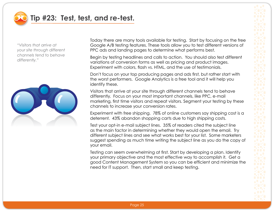

#### **Tip #23: Test, test, and re-test.**

*"Visitors that arrive at your site through different channels tend to behave differently."*



Today there are many tools available for testing. Start by focusing on the free Google A/B testing features. These tools allow you to test different versions of PPC ads and landing pages to determine what performs best.

Begin by testing headlines and calls to action. You should also test different variations of conversion forms as well as pricing and product images. Experiment with colors, flash vs. HTML, and the use of testimonials.

Don't focus on your top producing pages and ads first, but rather start with the worst performers. Google Analytics is a free tool and it will help you identify these.

Visitors that arrive at your site through different channels tend to behave differently. Focus on your most important channels, like PPC, e-mail marketing, first time visitors and repeat visitors. Segment your testing by these channels to increase your conversion rates.

Experiment with free shipping. 78% of online customers say shipping cost is a deterrent. 43% abandon shopping carts due to high shipping costs.

Test your opt-in e-mail subject lines. 35% of readers cited the subject line as the main factor in determining whether they would open the email. Try different subject lines and see what works best for your list. Some marketers suggest spending as much time writing the subject line as you do the copy of your email.

Testing can seem overwhelming at first. Start by developing a plan. Identify your primary objective and the most effective way to accomplish it. Get a good Content Management System so you can be efficient and minimize the need for IT support. Then, start small and keep testing.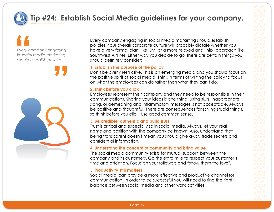

# **Tip #24: Establish Social Media guidelines for your company.**

# **A**<br>
Every contract in social<br>
should e *Every company engaging in social media marketing should establish policies.*



Every company engaging in social media marketing should establish policies. Your overall corporate culture will probably dictate whether you have a very formal plan, like IBM, or a more relaxed and "hip" approach like Southwest Airlines. Either way you decide to go, there are certain things you should definitely consider:

#### **1. Establish the purpose of the policy**

Don't be overly restrictive. This is an emerging media and you should focus on the positive spirit of social media. Think in terms of writing the policy to focus on what the employees can do rather then what they can't do.

#### **2. Think before you click**

Employees represent their company and they need to be responsible in their communications. Sharing your ideas is one thing. Using slurs, inappropriate slang, or demeaning and inflammatory messages is not acceptable. Always be positive and thoughtful. There are consequences for saying stupid things, so think before you click. Use good common sense.

#### **3. Be credible, authentic and build trust**

Trust is critical and especially so in social media. Always, let your real name and position with the company be known. Also, understand that being transparent doesn't mean you should give away trade secrets and confidential information.

#### **4. Understand the concept of community and bring value**

The social media community exists for mutual support, between the company and its customers. Go the extra mile to respect your customer's time and attention. Focus on your followers and "show them the love".

#### **5. Productivity still matters**

Social medial can provide a more effective and productive channel for communication. In order to be successful you will need to find the right balance between social media and other work activities.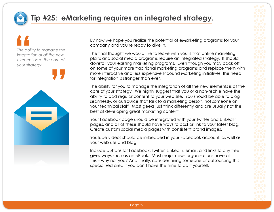# **Tip #25: eMarketing requires an integrated strategy.**

# The abilities<br>The abilities<br>element<br>your stro **"** *The ability to manage the integration of all the new elements is at the core of your strategy.*

By now we hope you realize the potential of eMarketing programs for your company and you're ready to dive in.

The final thought we would like to leave with you is that online marketing plans and social media programs require an integrated strategy. It should dovetail your existing marketing programs. Even though you may back off on some of your more traditional marketing programs and replace them with more interactive and less expensive Inbound Marketing initiatives, the need for integration is stronger than ever.

The ability for you to manage the integration of all the new elements is at the core of your strategy. We highly suggest that you or a non-techie have the ability to add regular content to your web site. You should be able to blog seamlessly, or outsource that task to a marketing person, not someone on your technical staff. Most geeks just think differently and are usually not the best at developing great marketing content.

Your Facebook page should be integrated with your Twitter and LinkedIn pages, and all of these should have ways to post or link to your latest blog. Create custom social media pages with consistent brand images.

YouTube videos should be imbedded in your Facebook account, as well as your web site and blog.

Include buttons for Facebook, Twitter, LinkedIn, email, and links to any free giveaways such as an eBook. Most major news organizations have all this – why not you? And finally, consider hiring someone or outsourcing this specialized area if you don't have the time to do it yourself.